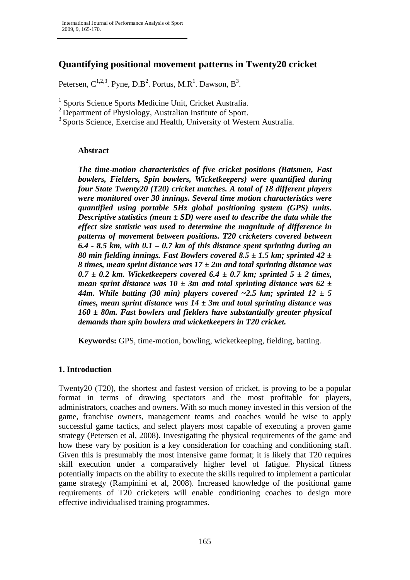# **Quantifying positional movement patterns in Twenty20 cricket**

Petersen,  $C^{1,2,3}$ . Pyne, D.B<sup>2</sup>. Portus, M.R<sup>1</sup>. Dawson, B<sup>3</sup>.

<sup>1</sup> Sports Science Sports Medicine Unit, Cricket Australia.

 $2$  Department of Physiology, Australian Institute of Sport.

<sup>3</sup> Sports Science, Exercise and Health, University of Western Australia.

# **Abstract**

The time-motion characteristics of five cricket positions (Batsmen, Fast bowlers, Fielders, Spin bowlers, Wicketkeepers) were quantified during four State Twenty20 (T20) cricket matches. A total of 18 different players were monitored over 30 innings. Several time motion characteristics were quantified using portable 5Hz global positioning system (GPS) units. Descriptive statistics (mean  $\pm$  SD) were used to describe the data while the effect size statistic was used to determine the magnitude of difference in patterns of movement between positions. T20 cricketers covered between 6.4 - 8.5 km, with  $0.1 - 0.7$  km of this distance spent sprinting during an 80 min fielding innings. Fast Bowlers covered 8.5  $\pm$  1.5 km; sprinted 42  $\pm$ 8 times, mean sprint distance was  $17 \pm 2m$  and total sprinting distance was  $0.7 \pm 0.2$  km. Wicketkeepers covered 6.4  $\pm$  0.7 km; sprinted 5  $\pm$  2 times, mean sprint distance was 10  $\pm$  3m and total sprinting distance was 62  $\pm$ 44m. While batting (30 min) players covered ~2.5 km; sprinted  $12 \pm 5$ times, mean sprint distance was  $14 \pm 3m$  and total sprinting distance was  $160 \pm 80$ m. Fast bowlers and fielders have substantially greater physical demands than spin bowlers and wicketkeepers in T20 cricket.

Keywords: GPS, time-motion, bowling, wicketkeeping, fielding, batting.

# 1. Introduction

Twenty20 (T20), the shortest and fastest version of cricket, is proving to be a popular format in terms of drawing spectators and the most profitable for players, administrators, coaches and owners. With so much money invested in this version of the game, franchise owners, management teams and coaches would be wise to apply successful game tactics, and select players most capable of executing a proven game strategy (Petersen et al, 2008). Investigating the physical requirements of the game and how these vary by position is a key consideration for coaching and conditioning staff. Given this is presumably the most intensive game format; it is likely that T20 requires skill execution under a comparatively higher level of fatigue. Physical fitness potentially impacts on the ability to execute the skills required to implement a particular game strategy (Rampinini et al, 2008). Increased knowledge of the positional game requirements of T20 cricketers will enable conditioning coaches to design more effective individualised training programmes.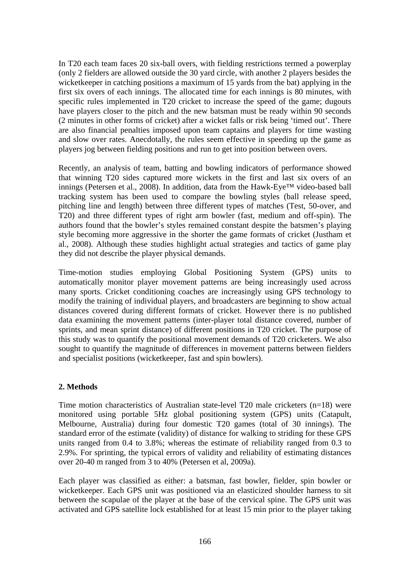In T20 each team faces 20 six-ball overs, with fielding restrictions termed a powerplay (only 2 fielders are allowed outside the 30 yard circle, with another 2 players besides the wicketkeeper in catching positions a maximum of 15 yards from the bat) applying in the first six overs of each innings. The allocated time for each innings is 80 minutes, with specific rules implemented in T20 cricket to increase the speed of the game; dugouts have players closer to the pitch and the new batsman must be ready within 90 seconds (2 minutes in other forms of cricket) after a wicket falls or risk being 'timed out'. There are also financial penalties imposed upon team captains and players for time wasting and slow over rates. Anecdotally, the rules seem effective in speeding up the game as players jog between fielding positions and run to get into position between overs.

Recently, an analysis of team, batting and bowling indicators of performance showed that winning T20 sides captured more wickets in the first and last six overs of an innings (Petersen et al., 2008). In addition, data from the Hawk-Eye<sup>TM</sup> video-based ball tracking system has been used to compare the bowling styles (ball release speed, pitching line and length) between three different types of matches (Test, 50-over, and T20) and three different types of right arm bowler (fast, medium and off-spin). The authors found that the bowler's styles remained constant despite the batsmen's playing style becoming more aggressive in the shorter the game formats of cricket (Justham et al., 2008). Although these studies highlight actual strategies and tactics of game play they did not describe the player physical demands.

Time-motion studies employing Global Positioning System (GPS) units to automatically monitor player movement patterns are being increasingly used across many sports. Cricket conditioning coaches are increasingly using GPS technology to modify the training of individual players, and broadcasters are beginning to show actual distances covered during different formats of cricket. However there is no published data examining the movement patterns (inter-player total distance covered, number of sprints, and mean sprint distance) of different positions in T20 cricket. The purpose of this study was to quantify the positional movement demands of T20 cricketers. We also sought to quantify the magnitude of differences in movement patterns between fielders and specialist positions (wicketkeeper, fast and spin bowlers).

# 2. Methods

Time motion characteristics of Australian state-level T20 male cricketers (n=18) were monitored using portable 5Hz global positioning system (GPS) units (Catapult, Melbourne, Australia) during four domestic T20 games (total of 30 innings). The standard error of the estimate (validity) of distance for walking to striding for these GPS units ranged from 0.4 to 3.8%; whereas the estimate of reliability ranged from 0.3 to 2.9%. For sprinting, the typical errors of validity and reliability of estimating distances over 20-40 m ranged from 3 to 40% (Petersen et al, 2009a).

Each player was classified as either: a batsman, fast bowler, fielder, spin bowler or wicketkeeper. Each GPS unit was positioned via an elasticized shoulder harness to sit between the scapulae of the player at the base of the cervical spine. The GPS unit was activated and GPS satellite lock established for at least 15 min prior to the player taking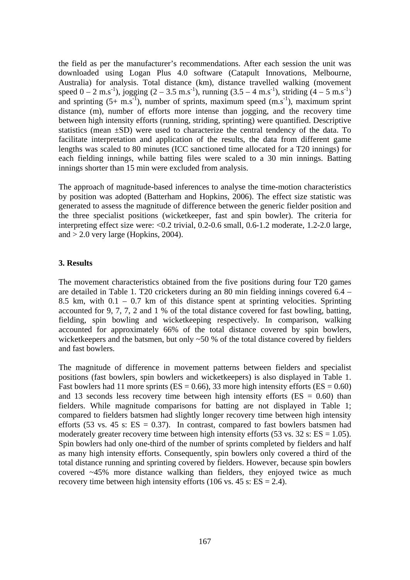the field as per the manufacturer's recommendations. After each session the unit was downloaded using Logan Plus 4.0 software (Catapult Innovations, Melbourne, Australia) for analysis. Total distance (km), distance travelled walking (movement speed  $0 - 2$  m.s<sup>-1</sup>), jogging  $(2 - 3.5$  m.s<sup>-1</sup>), running  $(3.5 - 4$  m.s<sup>-1</sup>), striding  $(4 - 5$  m.s<sup>-1</sup>) and sprinting  $(5+ \text{ m.s}^{-1})$ , number of sprints, maximum speed  $(\text{m.s}^{-1})$ , maximum sprint distance (m), number of efforts more intense than jogging, and the recovery time between high intensity efforts (running, striding, sprinting) were quantified. Descriptive statistics (mean  $\pm SD$ ) were used to characterize the central tendency of the data. To facilitate interpretation and application of the results, the data from different game lengths was scaled to 80 minutes (ICC sanctioned time allocated for a T20 innings) for each fielding innings, while batting files were scaled to a 30 min innings. Batting innings shorter than 15 min were excluded from analysis.

The approach of magnitude-based inferences to analyse the time-motion characteristics by position was adopted (Batterham and Hopkins, 2006). The effect size statistic was generated to assess the magnitude of difference between the generic fielder position and the three specialist positions (wicketkeeper, fast and spin bowler). The criteria for interpreting effect size were:  $\langle 0.2 \text{ trivial}, 0.2 \text{-} 0.6 \text{ small}, 0.6 \text{-} 1.2 \text{ moderate}, 1.2 \text{-} 2.0 \text{ large}, \rangle$ and  $> 2.0$  very large (Hopkins, 2004).

#### 3. Results

The movement characteristics obtained from the five positions during four T20 games are detailed in Table 1. T20 cricketers during an 80 min fielding innings covered  $6.4 -$ 8.5 km, with  $0.1 - 0.7$  km of this distance spent at sprinting velocities. Sprinting accounted for 9, 7, 7, 2 and 1 % of the total distance covered for fast bowling, batting, fielding, spin bowling and wicketkeeping respectively. In comparison, walking accounted for approximately 66% of the total distance covered by spin bowlers, wicketkeepers and the batsmen, but only  $\sim 50$  % of the total distance covered by fielders and fast bowlers.

The magnitude of difference in movement patterns between fielders and specialist positions (fast bowlers, spin bowlers and wicketkeepers) is also displayed in Table 1. Fast bowlers had 11 more sprints (ES = 0.66), 33 more high intensity efforts (ES = 0.60) and 13 seconds less recovery time between high intensity efforts ( $ES = 0.60$ ) than fielders. While magnitude comparisons for batting are not displayed in Table 1; compared to fielders batsmen had slightly longer recovery time between high intensity efforts (53 vs. 45 s:  $ES = 0.37$ ). In contrast, compared to fast bowlers batsmen had moderately greater recovery time between high intensity efforts  $(53 \text{ vs. } 32 \text{ s: } ES = 1.05)$ . Spin bowlers had only one-third of the number of sprints completed by fielders and half as many high intensity efforts. Consequently, spin bowlers only covered a third of the total distance running and sprinting covered by fielders. However, because spin bowlers covered  $\sim$ 45% more distance walking than fielders, they enjoyed twice as much recovery time between high intensity efforts (106 vs. 45 s:  $ES = 2.4$ ).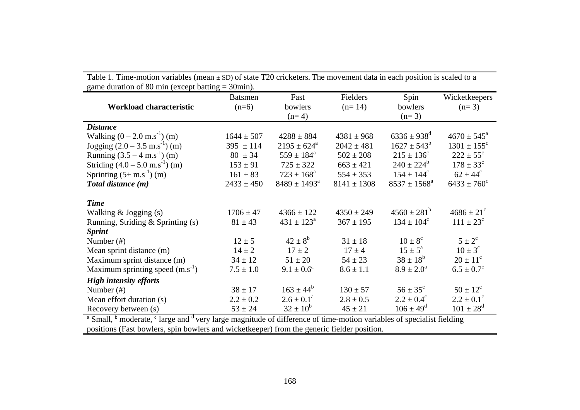| game duration of 80 min (except batting $=$ 50 min). |                |                         |                 |                         |                        |
|------------------------------------------------------|----------------|-------------------------|-----------------|-------------------------|------------------------|
|                                                      | <b>Batsmen</b> | Fast                    | Fielders        | Spin                    | Wicketkeepers          |
| Workload characteristic                              | $(n=6)$        | bowlers                 | $(n=14)$        | bowlers                 | $(n=3)$                |
|                                                      |                | $(n=4)$                 |                 | $(n=3)$                 |                        |
| <b>Distance</b>                                      |                |                         |                 |                         |                        |
| Walking $(0 - 2.0 \text{ m.s}^{-1})$ (m)             | $1644 \pm 507$ | $4288 \pm 884$          | $4381 \pm 968$  | $6336 \pm 938^{\rm d}$  | $4670 \pm 545^{\circ}$ |
| Jogging $(2.0 - 3.5 \text{ m.s}^{-1})$ (m)           | $395 \pm 114$  | $2195 \pm 624^{\circ}$  | $2042 \pm 481$  | $1627 \pm 543^b$        | $1301 \pm 155^{\circ}$ |
| Running $(3.5 - 4 \text{ m.s}^{-1})$ (m)             | $80 \pm 34$    | $559 \pm 184^{\rm a}$   | $502 \pm 208$   | $215 \pm 136^c$         | $222 \pm 55^{\circ}$   |
| Striding $(4.0 - 5.0 \text{ m.s}^{-1})$ (m)          | $153 \pm 91$   | $725 \pm 322$           | $663 \pm 421$   | $240 \pm 224^b$         | $178 \pm 33^{\circ}$   |
| Sprinting $(5+m.s^{-1})$ (m)                         | $161 \pm 83$   | $723 \pm 168^{\rm a}$   | $554 \pm 353$   | $154 \pm 144^{\circ}$   | $62 \pm 44^{\circ}$    |
| Total distance (m)                                   | $2433 \pm 450$ | $8489 \pm 1493^{\circ}$ | $8141 \pm 1308$ | $8537 \pm 1568^{\circ}$ | $6433 \pm 760^{\circ}$ |
|                                                      |                |                         |                 |                         |                        |
| <b>Time</b>                                          |                |                         |                 |                         |                        |
| Walking $&$ Jogging $(s)$                            | $1706 \pm 47$  | $4366 \pm 122$          | $4350 \pm 249$  | $4560 \pm 281^b$        | $4686 \pm 21^{\circ}$  |
| Running, Striding $\&$ Sprinting (s)                 | $81 \pm 43$    | $431 \pm 123^{\circ}$   | $367 \pm 195$   | $134 \pm 104^{\circ}$   | $111 \pm 23^{\circ}$   |
| <b>Sprint</b>                                        |                |                         |                 |                         |                        |
| Number $(\#)$                                        | $12 \pm 5$     | $42 \pm 8^b$            | $31 \pm 18$     | $10 \pm 8^{\circ}$      | $5 \pm 2^{\circ}$      |
| Mean sprint distance (m)                             | $14 \pm 2$     | $17 \pm 2$              | $17 \pm 4$      | $15 \pm 5^{\circ}$      | $10 \pm 3^{\circ}$     |
| Maximum sprint distance (m)                          | $34 \pm 12$    | $51 \pm 20$             | $54 \pm 23$     | $38 \pm 18^{6}$         | $20 \pm 11^{\circ}$    |
| Maximum sprinting speed $(m.s^{-1})$                 | $7.5 \pm 1.0$  | $9.1 \pm 0.6^a$         | $8.6 \pm 1.1$   | $8.9 \pm 2.0^a$         | $6.5 \pm 0.7^c$        |
| <b>High intensity efforts</b>                        |                |                         |                 |                         |                        |
| Number $(\#)$                                        | $38 \pm 17$    | $163 \pm 44^b$          | $130 \pm 57$    | $56 \pm 35^{\circ}$     | $50 \pm 12^{\circ}$    |
| Mean effort duration (s)                             | $2.2 \pm 0.2$  | $2.6 \pm 0.1^a$         | $2.8 \pm 0.5$   | $2.2 \pm 0.4^{\circ}$   | $2.2 \pm 0.1^{\circ}$  |
| Recovery between (s)                                 | $53 \pm 24$    | $32 \pm 10^{6}$         | $45 \pm 21$     | $106 \pm 49^{\rm d}$    | $101 \pm 28^{\rm d}$   |

Table 1. Time-motion variables (mean ± SD) of state T20 cricketers**.** The movement data in each position is scaled to a game duration of 80 min (except batting = 30min).

<sup>a</sup> Small, <sup>b</sup> moderate, <sup>c</sup> large and <sup>d</sup> very large magnitude of difference of time-motion variables of specialist fielding positions (Fast bowlers, spin bowlers and wicketkeeper) from the generic fielder position.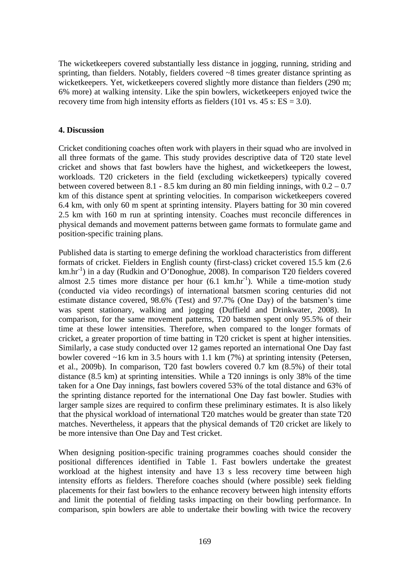The wicketkeepers covered substantially less distance in jogging, running, striding and sprinting, than fielders. Notably, fielders covered  $\sim 8$  times greater distance sprinting as wicketkeepers. Yet, wicketkeepers covered slightly more distance than fielders (290 m; 6% more) at walking intensity. Like the spin bowlers, wicketkeepers enjoyed twice the recovery time from high intensity efforts as fielders (101 vs.  $45$  s:  $ES = 3.0$ ).

# **4. Discussion**

Cricket conditioning coaches often work with players in their squad who are involved in all three formats of the game. This study provides descriptive data of T20 state level cricket and shows that fast bowlers have the highest, and wicketkeepers the lowest, workloads. T20 cricketers in the field (excluding wicketkeepers) typically covered between covered between 8.1 - 8.5 km during an 80 min fielding innings, with  $0.2 - 0.7$ km of this distance spent at sprinting velocities. In comparison wicketkeepers covered 6.4 km, with only 60 m spent at sprinting intensity. Players batting for 30 min covered 2.5 km with 160 m run at sprinting intensity. Coaches must reconcile differences in physical demands and movement patterns between game formats to formulate game and position-specific training plans.

Published data is starting to emerge defining the workload characteristics from different formats of cricket. Fielders in English county (first-class) cricket covered 15.5 km (2.6)  $km \cdot hr^{-1}$ ) in a day (Rudkin and O'Donoghue, 2008). In comparison T20 fielders covered almost 2.5 times more distance per hour  $(6.1 \text{ km/hr}^{-1})$ . While a time-motion study (conducted via video recordings) of international batsmen scoring centuries did not estimate distance covered, 98.6% (Test) and 97.7% (One Day) of the batsmen's time was spent stationary, walking and jogging (Duffield and Drinkwater, 2008). In comparison, for the same movement patterns, T20 batsmen spent only 95.5% of their time at these lower intensities. Therefore, when compared to the longer formats of cricket, a greater proportion of time batting in T20 cricket is spent at higher intensities. Similarly, a case study conducted over 12 games reported an international One Day fast bowler covered  $\sim$ 16 km in 3.5 hours with 1.1 km (7%) at sprinting intensity (Petersen, et al., 2009b). In comparison, T20 fast bowlers covered 0.7 km (8.5%) of their total distance (8.5 km) at sprinting intensities. While a T20 innings is only 38% of the time taken for a One Day innings, fast bowlers covered 53% of the total distance and 63% of the sprinting distance reported for the international One Day fast bowler. Studies with larger sample sizes are required to confirm these preliminary estimates. It is also likely that the physical workload of international T20 matches would be greater than state T20 matches. Nevertheless, it appears that the physical demands of T20 cricket are likely to be more intensive than One Day and Test cricket.

When designing position-specific training programmes coaches should consider the positional differences identified in Table 1. Fast bowlers undertake the greatest workload at the highest intensity and have 13 s less recovery time between high intensity efforts as fielders. Therefore coaches should (where possible) seek fielding placements for their fast bowlers to the enhance recovery between high intensity efforts and limit the potential of fielding tasks impacting on their bowling performance. In comparison, spin bowlers are able to undertake their bowling with twice the recovery